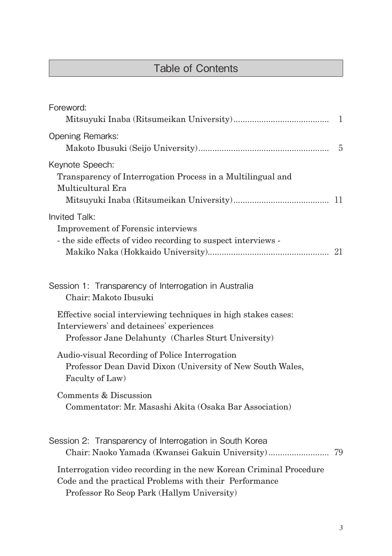## Table of Contents

| Foreword:                                                                                                                                                                  |    |
|----------------------------------------------------------------------------------------------------------------------------------------------------------------------------|----|
| <b>Opening Remarks:</b>                                                                                                                                                    | -5 |
| Keynote Speech:<br>Transparency of Interrogation Process in a Multilingual and<br>Multicultural Era                                                                        |    |
| Invited Talk:<br>Improvement of Forensic interviews<br>- the side effects of video recording to suspect interviews -                                                       |    |
| Session 1: Transparency of Interrogation in Australia<br>Chair: Makoto Ibusuki                                                                                             |    |
| Effective social interviewing techniques in high stakes cases:<br>Interviewers' and detainees' experiences<br>Professor Jane Delahunty (Charles Sturt University)          |    |
| Audio-visual Recording of Police Interrogation<br>Professor Dean David Dixon (University of New South Wales,<br>Faculty of Law)                                            |    |
| Comments & Discussion<br>Commentator: Mr. Masashi Akita (Osaka Bar Association)                                                                                            |    |
| Session 2: Transparency of Interrogation in South Korea<br>Chair: Naoko Yamada (Kwansei Gakuin University) 79                                                              |    |
| Interrogation video recording in the new Korean Criminal Procedure<br>Code and the practical Problems with their Performance<br>Professor Ro Seop Park (Hallym University) |    |